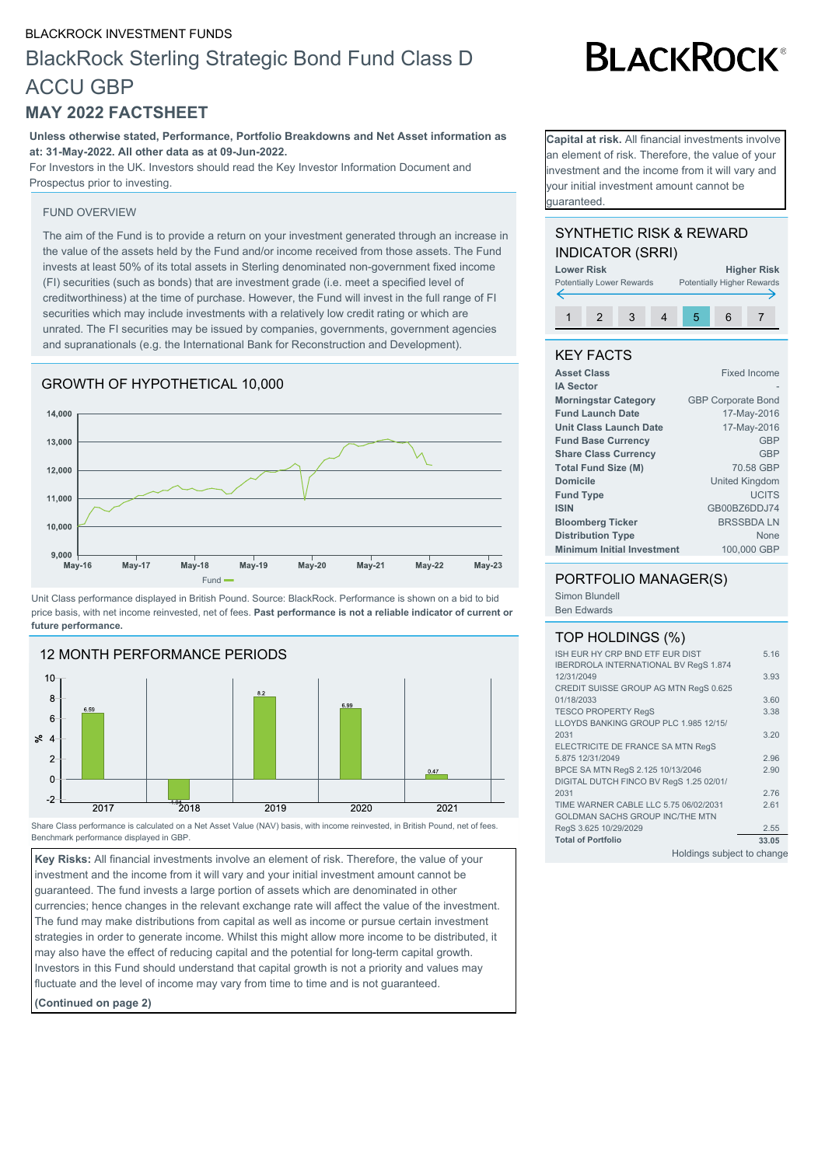#### BLACKROCK INVESTMENT FUNDS

# BlackRock Sterling Strategic Bond Fund Class D ACCU GBP

### **MAY 2022 FACTSHEET**

**Unless otherwise stated, Performance, Portfolio Breakdowns and Net Asset information as at: 31-May-2022. All other data as at 09-Jun-2022.**

For Investors in the UK. Investors should read the Key Investor Information Document and Prospectus prior to investing.

#### FUND OVERVIEW

The aim of the Fund is to provide a return on your investment generated through an increase in the value of the assets held by the Fund and/or income received from those assets. The Fund invests at least 50% of its total assets in Sterling denominated non-government fixed income (FI) securities (such as bonds) that are investment grade (i.e. meet a specified level of creditworthiness) at the time of purchase. However, the Fund will invest in the full range of FI securities which may include investments with a relatively low credit rating or which are unrated. The FI securities may be issued by companies, governments, government agencies and supranationals (e.g. the International Bank for Reconstruction and Development).

#### GROWTH OF HYPOTHETICAL 10,000



Unit Class performance displayed in British Pound. Source: BlackRock. Performance is shown on a bid to bid price basis, with net income reinvested, net of fees. **Past performance is not a reliable indicator of current or future performance.**



Share Class performance is calculated on a Net Asset Value (NAV) basis, with income reinvested, in British Pound, net of fees. Benchmark performance displayed in GBP.

**Key Risks:** All financial investments involve an element of risk. Therefore, the value of your investment and the income from it will vary and your initial investment amount cannot be guaranteed. The fund invests a large portion of assets which are denominated in other currencies; hence changes in the relevant exchange rate will affect the value of the investment. The fund may make distributions from capital as well as income or pursue certain investment strategies in order to generate income. Whilst this might allow more income to be distributed, it may also have the effect of reducing capital and the potential for long-term capital growth. Investors in this Fund should understand that capital growth is not a priority and values may fluctuate and the level of income may vary from time to time and is not guaranteed.

**(Continued on page 2)**

**BLACKROCK®** 

**Capital at risk.** All financial investments involve an element of risk. Therefore, the value of your nvestment and the income from it will vary and your initial investment amount cannot be guaranteed.

#### SYNTHETIC RISK & REWARD INDICATOR (SRRI)



#### KEY FACTS

| <b>Asset Class</b>                | <b>Fixed Income</b>       |
|-----------------------------------|---------------------------|
| <b>IA Sector</b>                  |                           |
| <b>Morningstar Category</b>       | <b>GBP Corporate Bond</b> |
| <b>Fund Launch Date</b>           | 17-May-2016               |
| Unit Class Launch Date            | 17-May-2016               |
| <b>Fund Base Currency</b>         | <b>GBP</b>                |
| <b>Share Class Currency</b>       | <b>GBP</b>                |
| <b>Total Fund Size (M)</b>        | 70.58 GBP                 |
| <b>Domicile</b>                   | <b>United Kingdom</b>     |
| <b>Fund Type</b>                  | <b>UCITS</b>              |
| <b>ISIN</b>                       | GB00BZ6DDJ74              |
| <b>Bloomberg Ticker</b>           | <b>BRSSBDALN</b>          |
| <b>Distribution Type</b>          | None                      |
| <b>Minimum Initial Investment</b> | 100,000 GBP               |
|                                   |                           |

#### PORTFOLIO MANAGER(S)

Simon Blundell Ben Edwards

#### TOP HOLDINGS (%)

| ISH EUR HY CRP BND ETF EUR DIST              | 5.16  |
|----------------------------------------------|-------|
| <b>IBERDROLA INTERNATIONAL BV RegS 1.874</b> |       |
| 12/31/2049                                   | 3.93  |
| CREDIT SUISSE GROUP AG MTN RegS 0.625        |       |
| 01/18/2033                                   | 3.60  |
| <b>TESCO PROPERTY RegS</b>                   | 3.38  |
| LLOYDS BANKING GROUP PLC 1.985 12/15/        |       |
| 2031                                         | 3.20  |
| ELECTRICITE DE FRANCE SA MTN RegS            |       |
| 5.875 12/31/2049                             | 2.96  |
| BPCE SA MTN RegS 2.125 10/13/2046            | 2.90  |
| DIGITAL DUTCH FINCO BV RegS 1.25 02/01/      |       |
| 2031                                         | 2.76  |
| TIME WARNER CABLE LLC 5.75 06/02/2031        | 2.61  |
| <b>GOLDMAN SACHS GROUP INC/THE MTN</b>       |       |
| RegS 3.625 10/29/2029                        | 2.55  |
| <b>Total of Portfolio</b>                    | 33.05 |
| Holdings subject to change                   |       |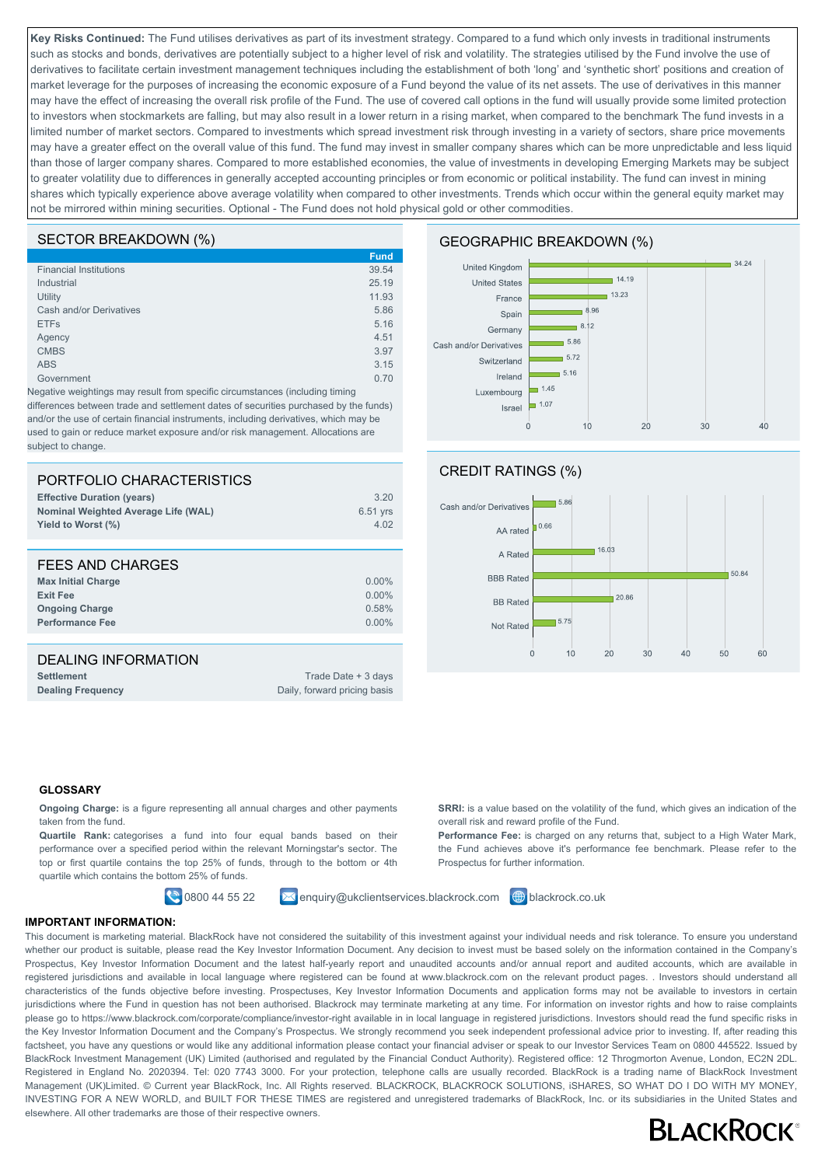**Key Risks Continued:** The Fund utilises derivatives as part of its investment strategy. Compared to a fund which only invests in traditional instruments such as stocks and bonds, derivatives are potentially subject to a higher level of risk and volatility. The strategies utilised by the Fund involve the use of derivatives to facilitate certain investment management techniques including the establishment of both 'long' and 'synthetic short' positions and creation of market leverage for the purposes of increasing the economic exposure of a Fund beyond the value of its net assets. The use of derivatives in this manner may have the effect of increasing the overall risk profile of the Fund. The use of covered call options in the fund will usually provide some limited protection to investors when stockmarkets are falling, but may also result in a lower return in a rising market, when compared to the benchmark The fund invests in a limited number of market sectors. Compared to investments which spread investment risk through investing in a variety of sectors, share price movements may have a greater effect on the overall value of this fund. The fund may invest in smaller company shares which can be more unpredictable and less liquid than those of larger company shares. Compared to more established economies, the value of investments in developing Emerging Markets may be subject to greater volatility due to differences in generally accepted accounting principles or from economic or political instability. The fund can invest in mining shares which typically experience above average volatility when compared to other investments. Trends which occur within the general equity market may not be mirrored within mining securities. Optional - The Fund does not hold physical gold or other commodities.

#### SECTOR BREAKDOWN (%)

|                               | <b>Fund</b> |
|-------------------------------|-------------|
| <b>Financial Institutions</b> | 39.54       |
| Industrial                    | 25.19       |
| Utility                       | 11.93       |
| Cash and/or Derivatives       | 5.86        |
| <b>ETFs</b>                   | 5.16        |
| Agency                        | 4.51        |
| <b>CMBS</b>                   | 3.97        |
| <b>ABS</b>                    | 3.15        |
| Government                    | 0.70        |
|                               |             |

Negative weightings may result from specific circumstances (including timing differences between trade and settlement dates of securities purchased by the funds) and/or the use of certain financial instruments, including derivatives, which may be used to gain or reduce market exposure and/or risk management. Allocations are subject to change.

| PORTFOLIO CHARACTERISTICS<br><b>Effective Duration (years)</b><br><b>Nominal Weighted Average Life (WAL)</b><br>Yield to Worst (%) | 3.20<br>6.51 yrs<br>4.02                            |
|------------------------------------------------------------------------------------------------------------------------------------|-----------------------------------------------------|
| FEES AND CHARGES<br><b>Max Initial Charge</b><br><b>Exit Fee</b><br><b>Ongoing Charge</b><br><b>Performance Fee</b>                | $0.00\%$<br>$0.00\%$<br>0.58%<br>$0.00\%$           |
| <b>DEALING INFORMATION</b><br><b>Settlement</b><br><b>Dealing Frequency</b>                                                        | Trade Date + 3 days<br>Daily, forward pricing basis |

#### GEOGRAPHIC BREAKDOWN (%)





**SRRI:** is a value based on the volatility of the fund, which gives an indication of the

**Performance Fee:** is charged on any returns that, subject to a High Water Mark, the Fund achieves above it's performance fee benchmark. Please refer to the

#### **GLOSSARY**

**Ongoing Charge:** is a figure representing all annual charges and other payments taken from the fund.

**Quartile Rank:** categorises a fund into four equal bands based on their performance over a specified period within the relevant Morningstar's sector. The top or first quartile contains the top 25% of funds, through to the bottom or 4th quartile which contains the bottom 25% of funds.

 $\bigcirc$  0800 44 55 22  $\bigcirc$  enquiry@ukclientservices.blackrock.com  $\bigcirc$  blackrock.co.uk

overall risk and reward profile of the Fund.

Prospectus for further information.

**IMPORTANT INFORMATION:**

This document is marketing material. BlackRock have not considered the suitability of this investment against your individual needs and risk tolerance. To ensure you understand whether our product is suitable, please read the Key Investor Information Document. Any decision to invest must be based solely on the information contained in the Company's Prospectus, Key Investor Information Document and the latest half-yearly report and unaudited accounts and/or annual report and audited accounts, which are available in registered jurisdictions and available in local language where registered can be found at www.blackrock.com on the relevant product pages. . Investors should understand all characteristics of the funds objective before investing. Prospectuses, Key Investor Information Documents and application forms may not be available to investors in certain jurisdictions where the Fund in question has not been authorised. Blackrock may terminate marketing at any time. For information on investor rights and how to raise complaints please go to https://www.blackrock.com/corporate/compliance/investor-right available in in local language in registered jurisdictions. Investors should read the fund specific risks in the Key Investor Information Document and the Company's Prospectus. We strongly recommend you seek independent professional advice prior to investing. If, after reading this factsheet, you have any questions or would like any additional information please contact your financial adviser or speak to our Investor Services Team on 0800 445522. Issued by BlackRock Investment Management (UK) Limited (authorised and regulated by the Financial Conduct Authority). Registered office: 12 Throgmorton Avenue, London, EC2N 2DL. Registered in England No. 2020394. Tel: 020 7743 3000. For your protection, telephone calls are usually recorded. BlackRock is a trading name of BlackRock Investment Management (UK)Limited. © Current year BlackRock, Inc. All Rights reserved. BLACKROCK, BLACKROCK SOLUTIONS, iSHARES, SO WHAT DO I DO WITH MY MONEY, INVESTING FOR A NEW WORLD, and BUILT FOR THESE TIMES are registered and unregistered trademarks of BlackRock, Inc. or its subsidiaries in the United States and elsewhere. All other trademarks are those of their respective owners.